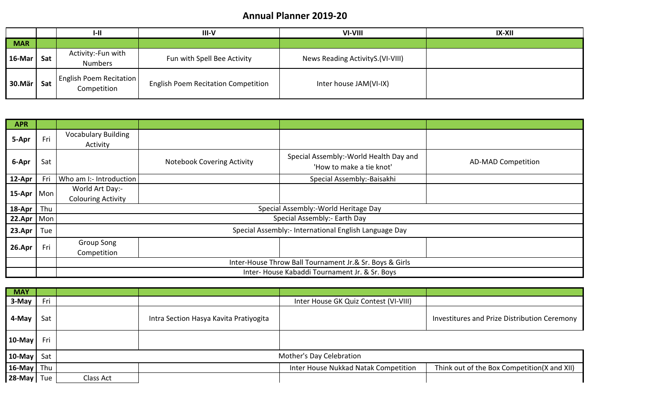### **Annual Planner 2019-20**

|            |     | $I-II$                                        | $III-V$                                    | VI-VIII                           | <b>IX-XII</b> |
|------------|-----|-----------------------------------------------|--------------------------------------------|-----------------------------------|---------------|
| <b>MAR</b> |     |                                               |                                            |                                   |               |
| $16$ -Mar  | Sat | Activity:-Fun with<br><b>Numbers</b>          | Fun with Spell Bee Activity                | News Reading ActivityS. (VI-VIII) |               |
| 30.Mär     | Sat | <b>English Poem Recitation</b><br>Competition | <b>English Poem Recitation Competition</b> | Inter house JAM(VI-IX)            |               |

| <b>APR</b>   |     |                                                       |                                                         |                                                                    |                           |  |  |
|--------------|-----|-------------------------------------------------------|---------------------------------------------------------|--------------------------------------------------------------------|---------------------------|--|--|
| 5-Apr        | Fri | <b>Vocabulary Building</b><br>Activity                |                                                         |                                                                    |                           |  |  |
| 6-Apr        | Sat |                                                       | <b>Notebook Covering Activity</b>                       | Special Assembly:-World Health Day and<br>'How to make a tie knot' | <b>AD-MAD Competition</b> |  |  |
| 12-Apr       | Fri | Who am I:- Introduction                               |                                                         | Special Assembly:-Baisakhi                                         |                           |  |  |
|              |     | World Art Day:-                                       |                                                         |                                                                    |                           |  |  |
| 15-Apr   Mon |     | <b>Colouring Activity</b>                             |                                                         |                                                                    |                           |  |  |
| 18-Apr       | Thu |                                                       |                                                         | Special Assembly:-World Heritage Day                               |                           |  |  |
| 22.Apr       | Mon |                                                       |                                                         | Special Assembly:- Earth Day                                       |                           |  |  |
| 23.Apr       | Tue | Special Assembly:- International English Language Day |                                                         |                                                                    |                           |  |  |
|              | Fri | Group Song                                            |                                                         |                                                                    |                           |  |  |
| 26.Apr       |     | Competition                                           |                                                         |                                                                    |                           |  |  |
|              |     |                                                       | Inter-House Throw Ball Tournament Jr.& Sr. Boys & Girls |                                                                    |                           |  |  |
|              |     |                                                       |                                                         | Inter- House Kabaddi Tournament Jr. & Sr. Boys                     |                           |  |  |

| <b>MAY</b>         |     |           |                                        |                                       |                                              |
|--------------------|-----|-----------|----------------------------------------|---------------------------------------|----------------------------------------------|
| 3-May              | Fri |           |                                        | Inter House GK Quiz Contest (VI-VIII) |                                              |
| 4-May              | Sat |           | Intra Section Hasya Kavita Pratiyogita |                                       | Investitures and Prize Distribution Ceremony |
| $10$ -May          | Fri |           |                                        |                                       |                                              |
| 10-May $\vert$ Sat |     |           |                                        | Mother's Day Celebration              |                                              |
| 16-May   Thu       |     |           |                                        | Inter House Nukkad Natak Competition  | Think out of the Box Competition(X and XII)  |
| $28$ -May Tue      |     | Class Act |                                        |                                       |                                              |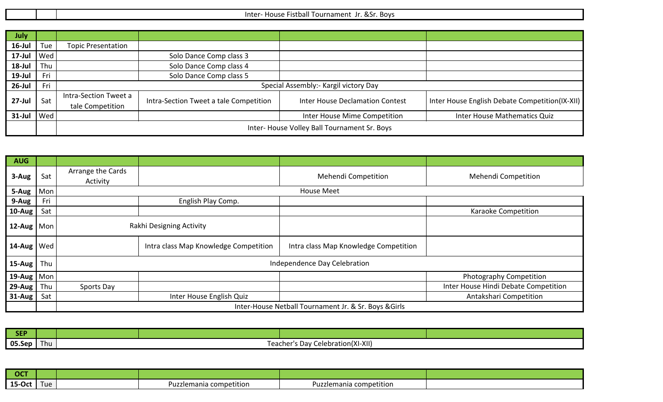|  | <b>Boys</b><br>-Inter<br>.<br>'' Tournament<br><b>FIC</b><br>x, sr<br>nuust<br>-istudii<br>- 63. JI<br>. |
|--|----------------------------------------------------------------------------------------------------------|
|  |                                                                                                          |

| <b>July</b>           |                  |                                             |                                        |                                        |                                                |
|-----------------------|------------------|---------------------------------------------|----------------------------------------|----------------------------------------|------------------------------------------------|
| $16$ -Jul             | Tue              | <b>Topic Presentation</b>                   |                                        |                                        |                                                |
| 17-Jul $ \text{Wed} $ |                  |                                             | Solo Dance Comp class 3                |                                        |                                                |
| $18$ -Jul             | Thu              |                                             | Solo Dance Comp class 4                |                                        |                                                |
| $19$ -Jul             | Fri              |                                             | Solo Dance Comp class 5                |                                        |                                                |
| $26$ -Jul             | Fri              |                                             |                                        | Special Assembly:- Kargil victory Day  |                                                |
| $27 -$ Jul            | Sat              | Intra-Section Tweet a                       |                                        | <b>Inter House Declamation Contest</b> | Inter House English Debate Competition(IX-XII) |
|                       | tale Competition |                                             | Intra-Section Tweet a tale Competition |                                        |                                                |
| $31$ -Jul   Wed       |                  |                                             |                                        | Inter House Mime Competition           | Inter House Mathematics Quiz                   |
|                       |                  | Inter-House Volley Ball Tournament Sr. Boys |                                        |                                        |                                                |

| <b>AUG</b>                      |     |                               |                                       |                                                       |                                      |
|---------------------------------|-----|-------------------------------|---------------------------------------|-------------------------------------------------------|--------------------------------------|
| 3-Aug                           | Sat | Arrange the Cards<br>Activity |                                       | Mehendi Competition                                   | Mehendi Competition                  |
| $5-Aug$ Mon                     |     |                               |                                       | <b>House Meet</b>                                     |                                      |
| 9-Aug                           | Fri |                               | English Play Comp.                    |                                                       |                                      |
| $10$ -Aug                       | Sat |                               |                                       |                                                       | Karaoke Competition                  |
| 12-Aug $\sqrt{\frac{1}{2}}$ Mon |     | Rakhi Designing Activity      |                                       |                                                       |                                      |
| $14$ -Aug   Wed                 |     |                               | Intra class Map Knowledge Competition | Intra class Map Knowledge Competition                 |                                      |
| $15$ -Aug                       | Thu |                               |                                       | Independence Day Celebration                          |                                      |
| 19-Aug $\vert$ Mon              |     |                               |                                       |                                                       | Photography Competition              |
| $29$ -Aug                       | Thu | Sports Day                    |                                       |                                                       | Inter House Hindi Debate Competition |
| $31$ -Aug                       | Sat |                               | Inter House English Quiz              |                                                       | Antakshari Competition               |
|                                 |     |                               |                                       | Inter-House Netball Tournament Jr. & Sr. Boys & Girls |                                      |

| <b>SEP</b>    |     |  |                                                    |  |
|---------------|-----|--|----------------------------------------------------|--|
| 05.S<br>' Sen | Thu |  | Celebration(XI-XII)<br><b>Teacher's</b><br>. Dav ' |  |

| $ $ OCT |      |                                    |                         |  |
|---------|------|------------------------------------|-------------------------|--|
| 15-Oct  | Lue. | .<br>Puzzlemania competition<br>பா | Puzzlemania competition |  |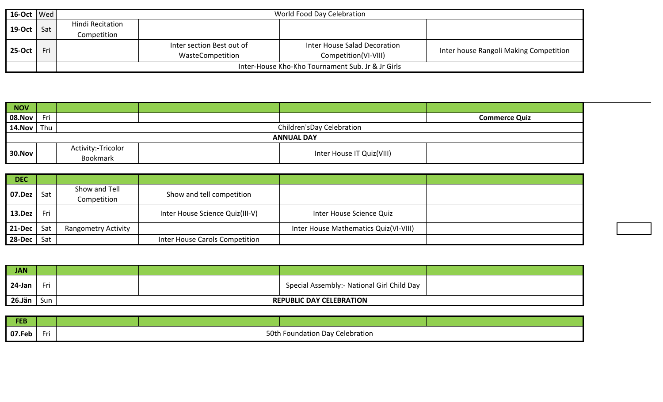| $16$ -Oct   Wed |     | World Food Day Celebration                        |                           |                              |                                        |  |
|-----------------|-----|---------------------------------------------------|---------------------------|------------------------------|----------------------------------------|--|
| <b>19-Oct</b>   | Sat | Hindi Recitation                                  |                           |                              |                                        |  |
|                 |     | Competition                                       |                           |                              |                                        |  |
|                 | Fri |                                                   | Inter section Best out of | Inter House Salad Decoration |                                        |  |
| $25-Oct$        |     |                                                   | WasteCompetition          | Competition(VI-VIII)         | Inter house Rangoli Making Competition |  |
|                 |     | Inter-House Kho-Kho Tournament Sub. Jr & Jr Girls |                           |                              |                                        |  |

| NOV               |     |                                       |                            |                           |                      |  |  |
|-------------------|-----|---------------------------------------|----------------------------|---------------------------|----------------------|--|--|
| 08.Nov            | Fri |                                       |                            |                           | <b>Commerce Quiz</b> |  |  |
| 14.Nov            | Thu |                                       | Children's Day Celebration |                           |                      |  |  |
| <b>ANNUAL DAY</b> |     |                                       |                            |                           |                      |  |  |
| 30.Nov            |     | Activity:-Tricolor<br><b>Bookmark</b> |                            | Inter House IT Quiz(VIII) |                      |  |  |

| <b>DEC</b>    |     |                              |                                 |                                       |  |
|---------------|-----|------------------------------|---------------------------------|---------------------------------------|--|
| 07.Dez        | Sat | Show and Tell<br>Competition | Show and tell competition       |                                       |  |
| <b>13.Dez</b> | Fri |                              | Inter House Science Quiz(III-V) | Inter House Science Quiz              |  |
| 21-Dec        | Sat | <b>Rangometry Activity</b>   |                                 | Inter House Mathematics Quiz(VI-VIII) |  |
| 28-Dec        | Sat |                              | Inter House Carols Competition  |                                       |  |

| <b>JAN</b>    |     |                                 |  |                                             |  |  |
|---------------|-----|---------------------------------|--|---------------------------------------------|--|--|
| $24$ -Jan $ $ | Fri |                                 |  | Special Assembly: - National Girl Child Day |  |  |
| 26.Jän        | Sun | <b>REPUBLIC DAY CELEBRATION</b> |  |                                             |  |  |

| <b>FEB</b> |   |                                                           |  |  |  |
|------------|---|-----------------------------------------------------------|--|--|--|
| 07.Feb     | . | 50th<br>I Foundation Day Celebration<br>$\cdots$ $\cdots$ |  |  |  |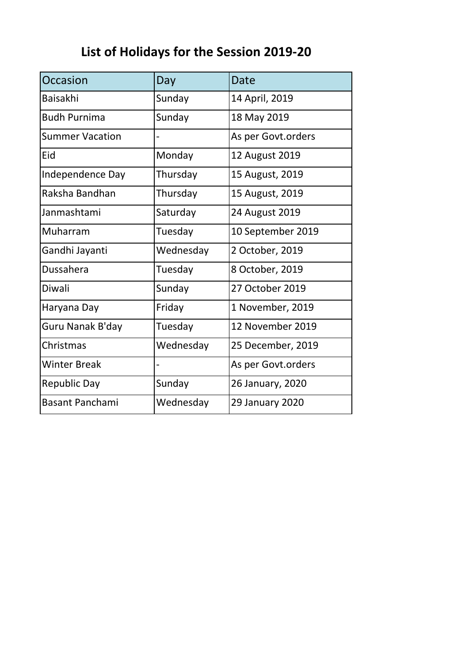# **List of Holidays for the Session 2019-20**

| Occasion               | Day            | Date               |
|------------------------|----------------|--------------------|
| <b>Baisakhi</b>        | Sunday         | 14 April, 2019     |
| <b>Budh Purnima</b>    | Sunday         | 18 May 2019        |
| <b>Summer Vacation</b> |                | As per Govt.orders |
| Eid                    | Monday         | 12 August 2019     |
| Independence Day       | Thursday       | 15 August, 2019    |
| Raksha Bandhan         | Thursday       | 15 August, 2019    |
| Janmashtami            | Saturday       | 24 August 2019     |
| Muharram               | Tuesday        | 10 September 2019  |
| Gandhi Jayanti         | Wednesday      | 2 October, 2019    |
| Dussahera              | Tuesday        | 8 October, 2019    |
| Diwali                 | Sunday         | 27 October 2019    |
| Haryana Day            | Friday         | 1 November, 2019   |
| Guru Nanak B'day       | Tuesday        | 12 November 2019   |
| Christmas              | Wednesday      | 25 December, 2019  |
| <b>Winter Break</b>    | $\overline{a}$ | As per Govt.orders |
| <b>Republic Day</b>    | Sunday         | 26 January, 2020   |
| <b>Basant Panchami</b> | Wednesday      | 29 January 2020    |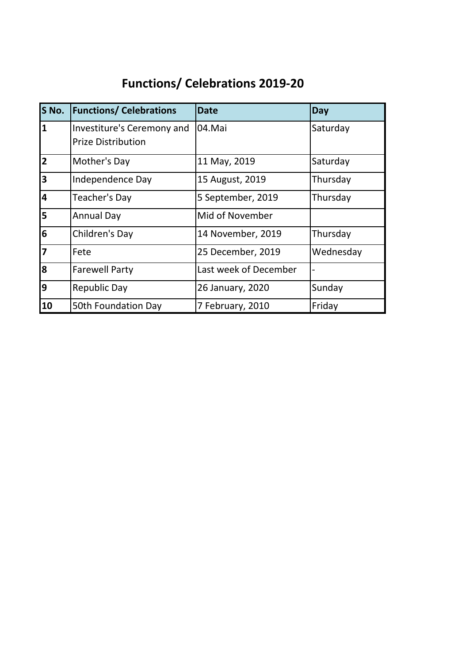## **Functions/ Celebrations 2019-20**

| S No.                   | <b>Functions/ Celebrations</b>                          | <b>Date</b>           | Day       |
|-------------------------|---------------------------------------------------------|-----------------------|-----------|
| $\overline{\mathbf{1}}$ | Investiture's Ceremony and<br><b>Prize Distribution</b> | 04.Mai                | Saturday  |
| $\overline{\mathbf{2}}$ | Mother's Day                                            | 11 May, 2019          | Saturday  |
| $\overline{\mathbf{3}}$ | Independence Day                                        | 15 August, 2019       | Thursday  |
| $\overline{\mathbf{4}}$ | Teacher's Day                                           | 5 September, 2019     | Thursday  |
| $\overline{\mathbf{5}}$ | <b>Annual Day</b>                                       | Mid of November       |           |
| 6                       | Children's Day                                          | 14 November, 2019     | Thursday  |
| $\overline{7}$          | Fete                                                    | 25 December, 2019     | Wednesday |
| 8                       | <b>Farewell Party</b>                                   | Last week of December |           |
| 9                       | <b>Republic Day</b>                                     | 26 January, 2020      | Sunday    |
| 10                      | 50th Foundation Day                                     | 7 February, 2010      | Friday    |